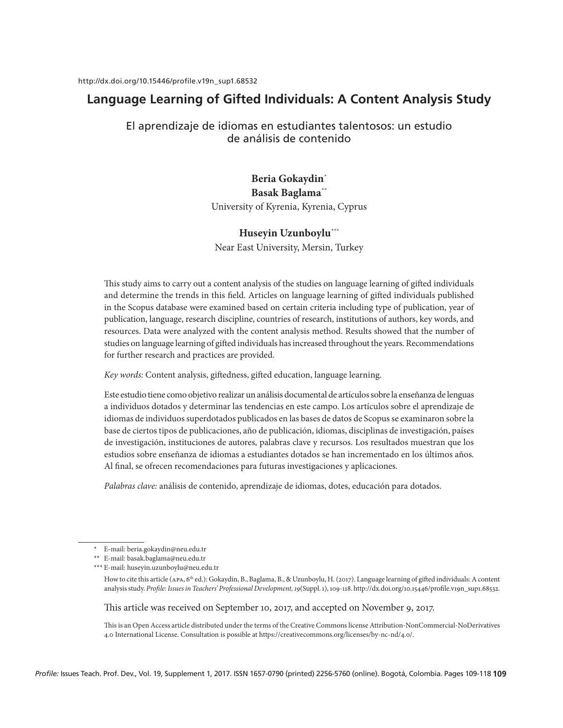# **Language Learning of Gifted Individuals: A Content Analysis Study**

# El aprendizaje de idiomas en estudiantes talentosos: un estudio de análisis de contenido

# Beria Gokaydin<sup>\*</sup> Basak Baglama\*\*

University of Kyrenia, Kyrenia, Cyprus

# Huseyin Uzunboylu\*\*\*

Near East University, Mersin, Turkey

This study aims to carry out a content analysis of the studies on language learning of gifted individuals and determine the trends in this field. Articles on language learning of gifted individuals published in the Scopus database were examined based on certain criteria including type of publication, year of publication, language, research discipline, countries of research, institutions of authors, key words, and resources. Data were analyzed with the content analysis method. Results showed that the number of studies on language learning of gifted individuals has increased throughout the years. Recommendations for further research and practices are provided.

*Key words:* Content analysis, giftedness, gifted education, language learning.

Este estudio tiene como objetivo realizar un análisis documental de artículos sobre la enseñanza de lenguas a individuos dotados y determinar las tendencias en este campo. Los artículos sobre el aprendizaje de idiomas de individuos superdotados publicados en las bases de datos de Scopus se examinaron sobre la base de ciertos tipos de publicaciones, año de publicación, idiomas, disciplinas de investigación, países de investigación, instituciones de autores, palabras clave y recursos. Los resultados muestran que los estudios sobre enseñanza de idiomas a estudiantes dotados se han incrementado en los últimos años. Al final, se ofrecen recomendaciones para futuras investigaciones y aplicaciones.

*Palabras clave:* análisis de contenido, aprendizaje de idiomas, dotes, educación para dotados.

This article was received on September 10, 2017, and accepted on November 9, 2017.

This is an Open Access article distributed under the terms of the Creative Commons license Attribution-NonCommercial-NoDerivatives 4.0 International License. Consultation is possible at https://creativecommons.org/licenses/by-nc-nd/4.0/.

<sup>\*</sup> E-mail: beria.gokaydin@neu.edu.tr

<sup>\*\*</sup> E-mail: basak.baglama@neu.edu.tr \*\*\* E-mail: huseyin.uzunboylu@neu.edu.tr

How to cite this article (apa, 6th ed.): Gokaydin, B., Baglama, B., & Uzunboylu, H. (2017). Language learning of gifted individuals: A content analysis study. *Profile: Issues in Teachers' Professional Development, 19*(Suppl. 1), 109-118. http://dx.doi.org/10.15446/profile.v19n\_sup1.68532.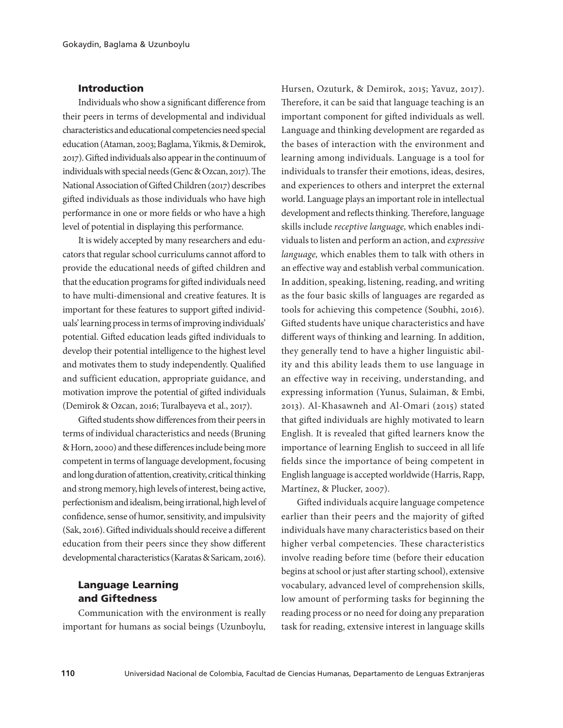## Introduction

Individuals who show a significant difference from their peers in terms of developmental and individual characteristics and educational competencies need special education (Ataman, 2003; Baglama, Yikmis, & Demirok, 2017). Gifted individuals also appear in the continuum of individuals with special needs (Genc & Ozcan, 2017). The National Association of Gifted Children (2017) describes gifted individuals as those individuals who have high performance in one or more fields or who have a high level of potential in displaying this performance.

It is widely accepted by many researchers and educators that regular school curriculums cannot afford to provide the educational needs of gifted children and that the education programs for gifted individuals need to have multi-dimensional and creative features. It is important for these features to support gifted individuals' learning process in terms of improving individuals' potential. Gifted education leads gifted individuals to develop their potential intelligence to the highest level and motivates them to study independently. Qualified and sufficient education, appropriate guidance, and motivation improve the potential of gifted individuals (Demirok & Ozcan, 2016; Turalbayeva et al., 2017).

Gifted students show differences from their peers in terms of individual characteristics and needs (Bruning & Horn, 2000) and these differences include being more competent in terms of language development, focusing and long duration of attention, creativity, critical thinking and strong memory, high levels of interest, being active, perfectionism and idealism, being irrational, high level of confidence, sense of humor, sensitivity, and impulsivity (Sak, 2016). Gifted individuals should receive a different education from their peers since they show different developmental characteristics (Karatas & Saricam, 2016).

# Language Learning and Giftedness

Communication with the environment is really important for humans as social beings (Uzunboylu,

Hursen, Ozuturk, & Demirok, 2015; Yavuz, 2017). Therefore, it can be said that language teaching is an important component for gifted individuals as well. Language and thinking development are regarded as the bases of interaction with the environment and learning among individuals. Language is a tool for individuals to transfer their emotions, ideas, desires, and experiences to others and interpret the external world. Language plays an important role in intellectual development and reflects thinking. Therefore, language skills include *receptive language,* which enables individuals to listen and perform an action, and *expressive language,* which enables them to talk with others in an effective way and establish verbal communication. In addition, speaking, listening, reading, and writing as the four basic skills of languages are regarded as tools for achieving this competence (Soubhi, 2016). Gifted students have unique characteristics and have different ways of thinking and learning. In addition, they generally tend to have a higher linguistic ability and this ability leads them to use language in an effective way in receiving, understanding, and expressing information (Yunus, Sulaiman, & Embi, 2013). Al-Khasawneh and Al-Omari (2015) stated that gifted individuals are highly motivated to learn English. It is revealed that gifted learners know the importance of learning English to succeed in all life fields since the importance of being competent in English language is accepted worldwide (Harris, Rapp, Martínez, & Plucker, 2007).

Gifted individuals acquire language competence earlier than their peers and the majority of gifted individuals have many characteristics based on their higher verbal competencies. These characteristics involve reading before time (before their education begins at school or just after starting school), extensive vocabulary, advanced level of comprehension skills, low amount of performing tasks for beginning the reading process or no need for doing any preparation task for reading, extensive interest in language skills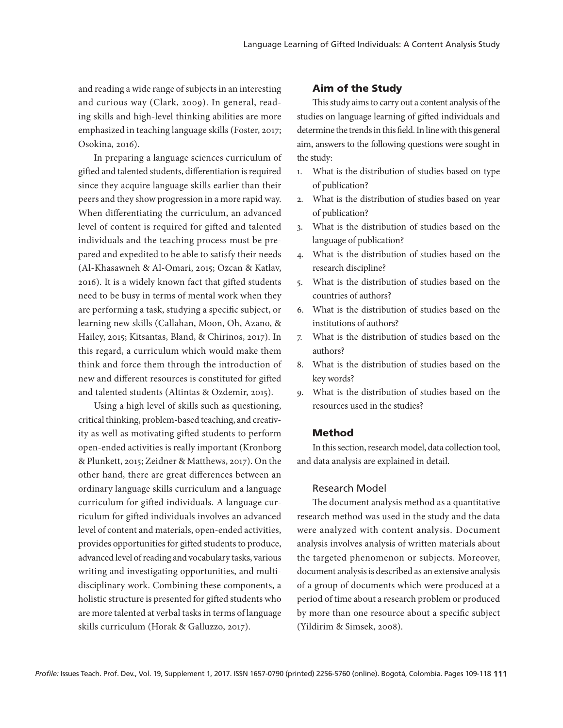and reading a wide range of subjects in an interesting and curious way (Clark, 2009). In general, reading skills and high-level thinking abilities are more emphasized in teaching language skills (Foster, 2017; Osokina, 2016).

In preparing a language sciences curriculum of gifted and talented students, differentiation is required since they acquire language skills earlier than their peers and they show progression in a more rapid way. When differentiating the curriculum, an advanced level of content is required for gifted and talented individuals and the teaching process must be prepared and expedited to be able to satisfy their needs (Al-Khasawneh & Al-Omari, 2015; Ozcan & Katlav, 2016). It is a widely known fact that gifted students need to be busy in terms of mental work when they are performing a task, studying a specific subject, or learning new skills (Callahan, Moon, Oh, Azano, & Hailey, 2015; Kitsantas, Bland, & Chirinos, 2017). In this regard, a curriculum which would make them think and force them through the introduction of new and different resources is constituted for gifted and talented students (Altintas & Ozdemir, 2015).

Using a high level of skills such as questioning, critical thinking, problem-based teaching, and creativity as well as motivating gifted students to perform open-ended activities is really important (Kronborg & Plunkett, 2015; Zeidner & Matthews, 2017). On the other hand, there are great differences between an ordinary language skills curriculum and a language curriculum for gifted individuals. A language curriculum for gifted individuals involves an advanced level of content and materials, open-ended activities, provides opportunities for gifted students to produce, advanced level of reading and vocabulary tasks, various writing and investigating opportunities, and multidisciplinary work. Combining these components, a holistic structure is presented for gifted students who are more talented at verbal tasks in terms of language skills curriculum (Horak & Galluzzo, 2017).

#### Aim of the Study

This study aims to carry out a content analysis of the studies on language learning of gifted individuals and determine the trends in this field. In line with this general aim, answers to the following questions were sought in the study:

- 1. What is the distribution of studies based on type of publication?
- 2. What is the distribution of studies based on year of publication?
- 3. What is the distribution of studies based on the language of publication?
- 4. What is the distribution of studies based on the research discipline?
- 5. What is the distribution of studies based on the countries of authors?
- 6. What is the distribution of studies based on the institutions of authors?
- 7. What is the distribution of studies based on the authors?
- 8. What is the distribution of studies based on the key words?
- 9. What is the distribution of studies based on the resources used in the studies?

#### Method

In this section, research model, data collection tool, and data analysis are explained in detail.

#### Research Model

The document analysis method as a quantitative research method was used in the study and the data were analyzed with content analysis. Document analysis involves analysis of written materials about the targeted phenomenon or subjects. Moreover, document analysis is described as an extensive analysis of a group of documents which were produced at a period of time about a research problem or produced by more than one resource about a specific subject (Yildirim & Simsek, 2008).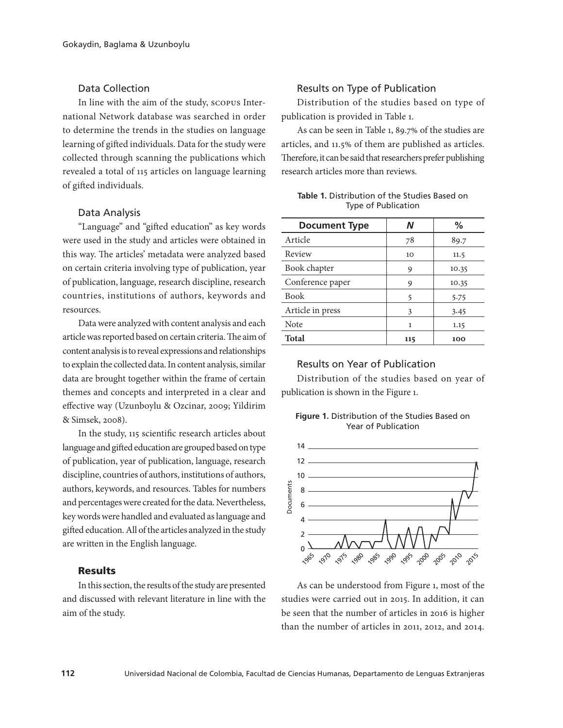# Data Collection

In line with the aim of the study, scopus International Network database was searched in order to determine the trends in the studies on language learning of gifted individuals. Data for the study were collected through scanning the publications which revealed a total of 115 articles on language learning of gifted individuals.

#### Data Analysis

"Language" and "gifted education" as key words were used in the study and articles were obtained in this way. The articles' metadata were analyzed based on certain criteria involving type of publication, year of publication, language, research discipline, research countries, institutions of authors, keywords and resources.

Data were analyzed with content analysis and each article was reported based on certain criteria. The aim of content analysis is to reveal expressions and relationships to explain the collected data. In content analysis, similar data are brought together within the frame of certain themes and concepts and interpreted in a clear and effective way (Uzunboylu & Ozcinar, 2009; Yildirim & Simsek, 2008).

In the study, 115 scientific research articles about language and gifted education are grouped based on type of publication, year of publication, language, research discipline, countries of authors, institutions of authors, authors, keywords, and resources. Tables for numbers and percentages were created for the data. Nevertheless, key words were handled and evaluated as language and gifted education. All of the articles analyzed in the study are written in the English language.

# Results

In this section, the results of the study are presented and discussed with relevant literature in line with the aim of the study.

## Results on Type of Publication

Distribution of the studies based on type of publication is provided in Table 1.

As can be seen in Table 1, 89.7% of the studies are articles, and 11.5% of them are published as articles. Therefore, it can be said that researchers prefer publishing research articles more than reviews.

| <b>Table 1.</b> Distribution of the Studies Based on |  |  |
|------------------------------------------------------|--|--|
| <b>Type of Publication</b>                           |  |  |

| <b>Document Type</b> | N   | %     |
|----------------------|-----|-------|
| Article              | 78  | 89.7  |
| Review               | 10  | 11.5  |
| Book chapter         | 9   | 10.35 |
| Conference paper     | 9   | 10.35 |
| <b>Book</b>          | 5   | 5.75  |
| Article in press     | 3   | 3.45  |
| Note                 | 1   | 1.15  |
| <b>Total</b>         | 115 | 100   |

## Results on Year of Publication

Distribution of the studies based on year of publication is shown in the Figure 1.





As can be understood from Figure 1, most of the studies were carried out in 2015. In addition, it can be seen that the number of articles in 2016 is higher than the number of articles in 2011, 2012, and 2014.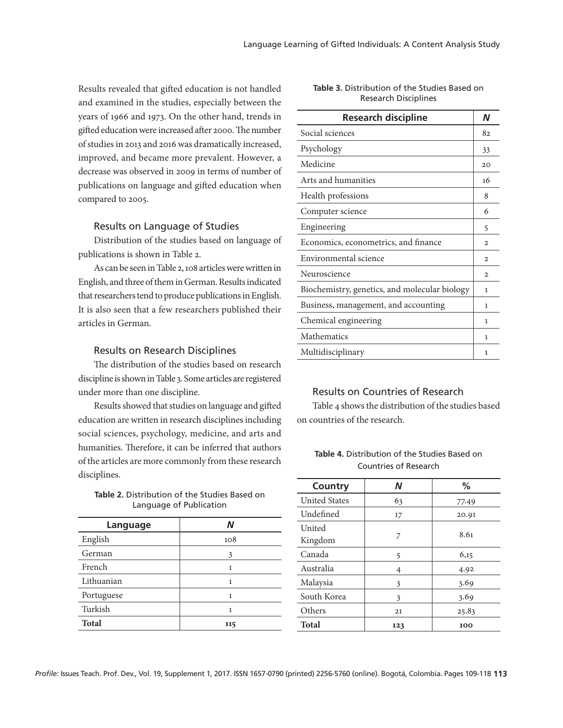Results revealed that gifted education is not handled and examined in the studies, especially between the years of 1966 and 1973. On the other hand, trends in gifted education were increased after 2000. The number of studies in 2013 and 2016 was dramatically increased, improved, and became more prevalent. However, a decrease was observed in 2009 in terms of number of publications on language and gifted education when compared to 2005.

#### Results on Language of Studies

Distribution of the studies based on language of publications is shown in Table 2.

As can be seen in Table 2, 108 articles were written in English, and three of them in German. Results indicated that researchers tend to produce publications in English. It is also seen that a few researchers published their articles in German.

### Results on Research Disciplines

The distribution of the studies based on research discipline is shown in Table 3. Some articles are registered under more than one discipline.

Results showed that studies on language and gifted education are written in research disciplines including social sciences, psychology, medicine, and arts and humanities. Therefore, it can be inferred that authors of the articles are more commonly from these research disciplines.

**Table 2.** Distribution of the Studies Based on Language of Publication

| Language     | N   |
|--------------|-----|
| English      | 108 |
| German       | 3   |
| French       | 1   |
| Lithuanian   | 1   |
| Portuguese   | 1   |
| Turkish      | 1   |
| <b>Total</b> | 115 |

#### **Table 3.** Distribution of the Studies Based on Research Disciplines

| <b>Research discipline</b>                    | N            |
|-----------------------------------------------|--------------|
| Social sciences                               | 82           |
| Psychology                                    | 33           |
| Medicine                                      | 20           |
| Arts and humanities                           | 16           |
| Health professions                            | 8            |
| Computer science                              | 6            |
| Engineering                                   | 5            |
| Economics, econometrics, and finance          | $\mathbf{2}$ |
| Environmental science                         | $\mathbf{2}$ |
| Neuroscience                                  | $\mathbf{2}$ |
| Biochemistry, genetics, and molecular biology | 1            |
| Business, management, and accounting          | 1            |
| Chemical engineering                          | 1            |
| Mathematics                                   | 1            |
| Multidisciplinary                             | 1            |

# Results on Countries of Research

Table 4 shows the distribution of the studies based on countries of the research.

| <b>Table 4.</b> Distribution of the Studies Based on |  |  |
|------------------------------------------------------|--|--|
| Countries of Research                                |  |  |

| Country              | N   | %     |
|----------------------|-----|-------|
| <b>United States</b> | 63  | 77.49 |
| Undefined            | 17  | 20.91 |
| United<br>Kingdom    | 7   | 8.61  |
| Canada               | 5   | 6,15  |
| Australia            | 4   | 4.92  |
| Malaysia             | 3   | 3.69  |
| South Korea          | 3   | 3.69  |
| Others               | 21  | 25.83 |
| <b>Total</b>         | 123 | 100   |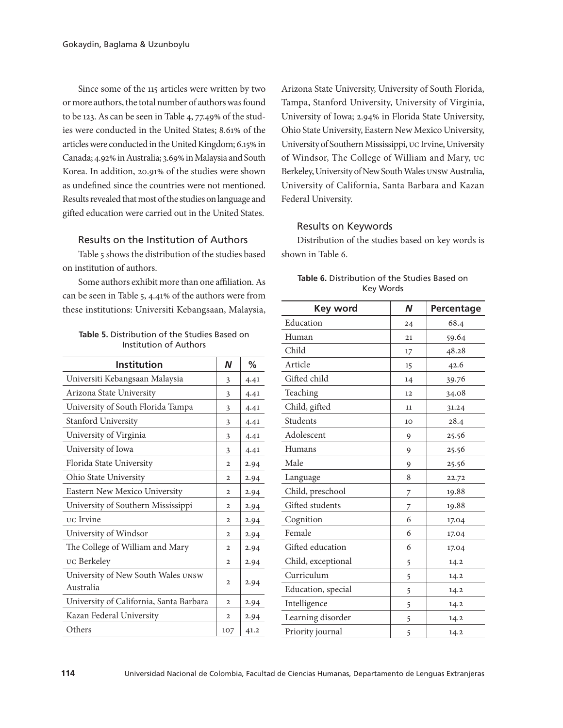Since some of the 115 articles were written by two or more authors, the total number of authors was found to be 123. As can be seen in Table 4, 77.49% of the studies were conducted in the United States; 8.61% of the articles were conducted in the United Kingdom; 6.15% in Canada; 4.92% in Australia; 3.69% in Malaysia and South Korea. In addition, 20.91% of the studies were shown as undefined since the countries were not mentioned. Results revealed that most of the studies on language and gifted education were carried out in the United States.

# Results on the Institution of Authors

Table 5 shows the distribution of the studies based on institution of authors.

Some authors exhibit more than one affiliation. As can be seen in Table 5, 4.41% of the authors were from these institutions: Universiti Kebangsaan, Malaysia,

**Table 5.** Distribution of the Studies Based on Institution of Authors

| <b>Institution</b>                              | N              | %    |
|-------------------------------------------------|----------------|------|
| Universiti Kebangsaan Malaysia                  | 3              | 4.41 |
| Arizona State University                        | 3              | 4.41 |
| University of South Florida Tampa               | 3              | 4.41 |
| Stanford University                             | 3              | 4.41 |
| University of Virginia                          | 3              | 4.41 |
| University of Iowa                              | 3              | 4.41 |
| Florida State University                        | $\mathbf{2}$   | 2.94 |
| Ohio State University                           | $\overline{2}$ | 2.94 |
| Eastern New Mexico University                   | $\mathbf{2}$   | 2.94 |
| University of Southern Mississippi              | 2              | 2.94 |
| <b>UC</b> Irvine                                | $\mathbf{2}$   | 2.94 |
| University of Windsor                           | $\mathbf{2}$   | 2.94 |
| The College of William and Mary                 | $\mathbf{2}$   | 2.94 |
| uc Berkeley                                     | $\mathbf{2}$   | 2.94 |
| University of New South Wales UNSW<br>Australia | $\mathbf{2}$   | 2.94 |
| University of California, Santa Barbara         | $\mathbf{2}$   | 2.94 |
| Kazan Federal University                        | 2              | 2.94 |
| Others                                          | 107            | 41.2 |

Arizona State University, University of South Florida, Tampa, Stanford University, University of Virginia, University of Iowa; 2.94% in Florida State University, Ohio State University, Eastern New Mexico University, University of Southern Mississippi, uc Irvine, University of Windsor, The College of William and Mary, uc Berkeley, University of New South Wales unsw Australia, University of California, Santa Barbara and Kazan Federal University.

# Results on Keywords

Distribution of the studies based on key words is shown in Table 6.

| <b>Key word</b>    | $\boldsymbol{N}$ | Percentage |
|--------------------|------------------|------------|
| Education          | 24               | 68.4       |
| Human              | 21               | 59.64      |
| Child              | 17               | 48.28      |
| Article            | 15               | 42.6       |
| Gifted child       | 14               | 39.76      |
| Teaching           | 12               | 34.08      |
| Child, gifted      | 11               | 31.24      |
| Students           | 10               | 28.4       |
| Adolescent         | 9                | 25.56      |
| Humans             | 9                | 25.56      |
| Male               | 9                | 25.56      |
| Language           | 8                | 22.72      |
| Child, preschool   | 7                | 19.88      |
| Gifted students    | 7                | 19.88      |
| Cognition          | 6                | 17.04      |
| Female             | 6                | 17.04      |
| Gifted education   | 6                | 17.04      |
| Child, exceptional | 5                | 14.2       |
| Curriculum         | 5                | 14.2       |
| Education, special | 5                | 14.2       |
| Intelligence       | 5                | 14.2       |
| Learning disorder  | 5                | 14.2       |
| Priority journal   | 5                | 14.2       |

**Table 6.** Distribution of the Studies Based on Key Words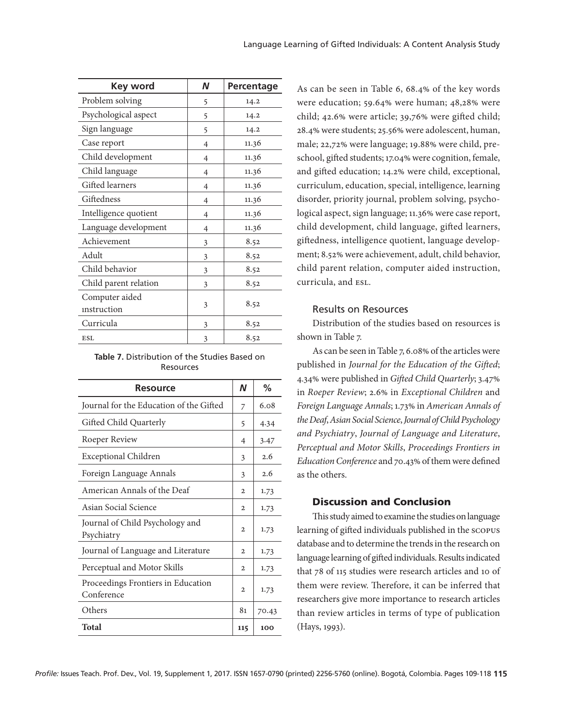| <b>Key word</b>       | N              | Percentage |
|-----------------------|----------------|------------|
| Problem solving       | 5              | 14.2       |
| Psychological aspect  | 5              | 14.2       |
| Sign language         | 5              | 14.2       |
| Case report           | 4              | 11.36      |
| Child development     | $\overline{4}$ | 11.36      |
| Child language        | $\overline{4}$ | 11.36      |
| Gifted learners       | 4              | 11.36      |
| Giftedness            | $\overline{4}$ | 11.36      |
| Intelligence quotient | 4              | 11.36      |
| Language development  | 4              | 11.36      |
| Achievement           | 3              | 8.52       |
| Adult                 | 3              | 8.52       |
| Child behavior        | 3              | 8.52       |
| Child parent relation | 3              | 8.52       |
| Computer aided        |                |            |
| instruction           | 3              | 8.52       |
| Curricula             | 3              | 8.52       |
| <b>ESL</b>            | 3              | 8.52       |

**Table 7.** Distribution of the Studies Based on Resources

| <b>Resource</b>                                  | N              | ℅     |
|--------------------------------------------------|----------------|-------|
| Journal for the Education of the Gifted          | 7              | 6.08  |
| Gifted Child Quarterly                           | 5              | 4.34  |
| Roeper Review                                    | 4              | 3.47  |
| <b>Exceptional Children</b>                      | 3              | 2.6   |
| Foreign Language Annals                          | 3              | 2.6   |
| American Annals of the Deaf                      | $\mathbf{2}$   | 1.73  |
| Asian Social Science                             | $\overline{2}$ | 1.73  |
| Journal of Child Psychology and<br>Psychiatry    | $\mathbf{2}$   | 1.73  |
| Journal of Language and Literature               | $\mathbf{2}$   | 1.73  |
| Perceptual and Motor Skills                      | $\mathbf{2}$   | 1.73  |
| Proceedings Frontiers in Education<br>Conference | $\overline{2}$ | 1.73  |
| Others                                           | 81             | 70.43 |
| Total                                            | 115            | 100   |

As can be seen in Table 6, 68.4% of the key words were education; 59.64% were human; 48,28% were child; 42.6% were article; 39,76% were gifted child; 28.4% were students; 25.56% were adolescent, human, male; 22,72% were language; 19.88% were child, preschool, gifted students; 17.04% were cognition, female, and gifted education; 14.2% were child, exceptional, curriculum, education, special, intelligence, learning disorder, priority journal, problem solving, psychological aspect, sign language; 11.36% were case report, child development, child language, gifted learners, giftedness, intelligence quotient, language development; 8.52% were achievement, adult, child behavior, child parent relation, computer aided instruction, curricula, and esl.

## Results on Resources

Distribution of the studies based on resources is shown in Table 7.

As can be seen in Table 7, 6.08% of the articles were published in *Journal for the Education of the Gifted*; 4.34% were published in *Gifted Child Quarterly*; 3.47% in *Roeper Review*; 2.6% in *Exceptional Children* and *Foreign Language Annals*; 1.73% in *American Annals of the Deaf*, *Asian Social Science*, *Journal of Child Psychology and Psychiatry*, *Journal of Language and Literature*, *Perceptual and Motor Skills*, *Proceedings Frontiers in Education Conference* and 70.43% of them were defined as the others.

# Discussion and Conclusion

This study aimed to examine the studies on language learning of gifted individuals published in the scopus database and to determine the trends in the research on language learning of gifted individuals. Results indicated that 78 of 115 studies were research articles and 10 of them were review. Therefore, it can be inferred that researchers give more importance to research articles than review articles in terms of type of publication (Hays, 1993).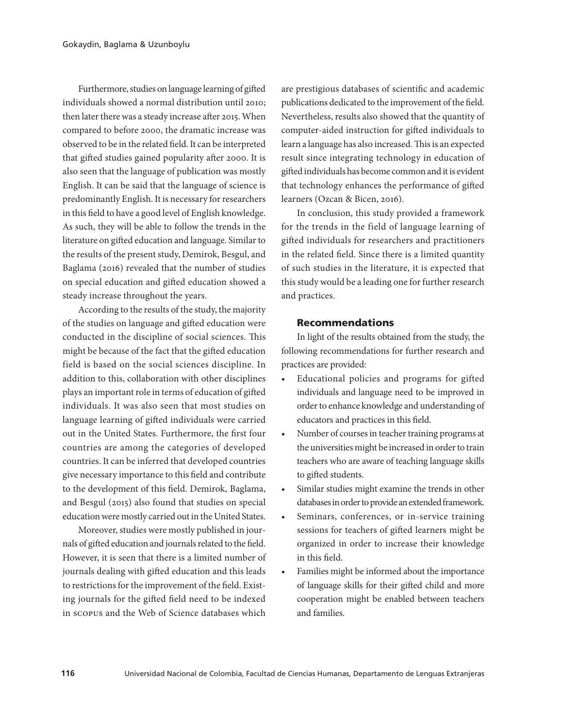Furthermore, studies on language learning of gifted individuals showed a normal distribution until 2010; then later there was a steady increase after 2015. When compared to before 2000, the dramatic increase was observed to be in the related field. It can be interpreted that gifted studies gained popularity after 2000. It is also seen that the language of publication was mostly English. It can be said that the language of science is predominantly English. It is necessary for researchers in this field to have a good level of English knowledge. As such, they will be able to follow the trends in the literature on gifted education and language. Similar to the results of the present study, Demirok, Besgul, and Baglama (2016) revealed that the number of studies on special education and gifted education showed a steady increase throughout the years.

According to the results of the study, the majority of the studies on language and gifted education were conducted in the discipline of social sciences. This might be because of the fact that the gifted education field is based on the social sciences discipline. In addition to this, collaboration with other disciplines plays an important role in terms of education of gifted individuals. It was also seen that most studies on language learning of gifted individuals were carried out in the United States. Furthermore, the first four countries are among the categories of developed countries. It can be inferred that developed countries give necessary importance to this field and contribute to the development of this field. Demirok, Baglama, and Besgul (2015) also found that studies on special education were mostly carried out in the United States.

Moreover, studies were mostly published in journals of gifted education and journals related to the field. However, it is seen that there is a limited number of journals dealing with gifted education and this leads to restrictions for the improvement of the field. Existing journals for the gifted field need to be indexed in scopus and the Web of Science databases which

are prestigious databases of scientific and academic publications dedicated to the improvement of the field. Nevertheless, results also showed that the quantity of computer-aided instruction for gifted individuals to learn a language has also increased. This is an expected result since integrating technology in education of gifted individuals has become common and it is evident that technology enhances the performance of gifted learners (Ozcan & Bicen, 2016).

In conclusion, this study provided a framework for the trends in the field of language learning of gifted individuals for researchers and practitioners in the related field. Since there is a limited quantity of such studies in the literature, it is expected that this study would be a leading one for further research and practices.

#### Recommendations

In light of the results obtained from the study, the following recommendations for further research and practices are provided:

- Educational policies and programs for gifted individuals and language need to be improved in order to enhance knowledge and understanding of educators and practices in this field.
- Number of courses in teacher training programs at the universities might be increased in order to train teachers who are aware of teaching language skills to gifted students.
- Similar studies might examine the trends in other databases in order to provide an extended framework.
- Seminars, conferences, or in-service training sessions for teachers of gifted learners might be organized in order to increase their knowledge in this field.
- Families might be informed about the importance of language skills for their gifted child and more cooperation might be enabled between teachers and families.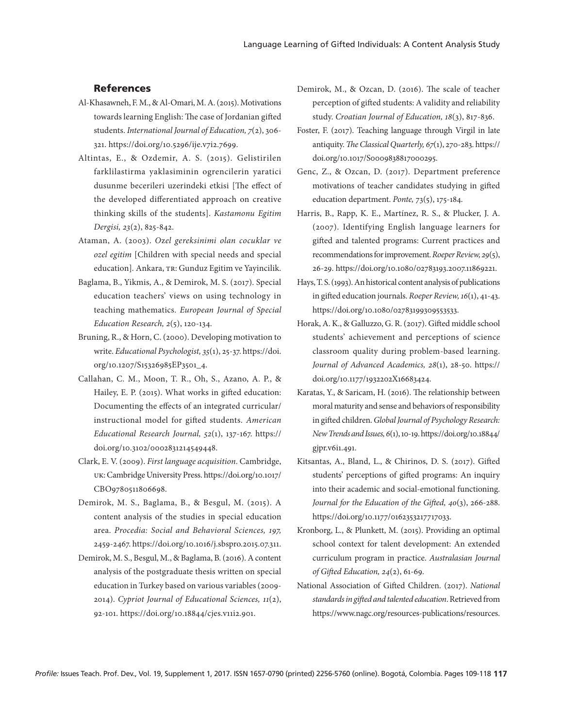# References

- Al-Khasawneh, F. M., & Al-Omari, M. A. (2015). Motivations towards learning English: The case of Jordanian gifted students. *International Journal of Education, 7*(2), 306- 321. https://doi.org/10.5296/ije.v7i2.7699.
- Altintas, E., & Ozdemir, A. S. (2015). Gelistirilen farklilastirma yaklasiminin ogrencilerin yaratici dusunme becerileri uzerindeki etkisi [The effect of the developed differentiated approach on creative thinking skills of the students]. *Kastamonu Egitim Dergisi, 23*(2), 825-842.
- Ataman, A. (2003). *O*z*el gereksinimi olan cocuklar ve ozel egitim* [Children with special needs and special education]*.* Ankara, tr: Gunduz Egitim ve Yayincilik.
- Baglama, B., Yikmis, A., & Demirok, M. S. (2017). Special education teachers' views on using technology in teaching mathematics. *European Journal of Special Education Research, 2*(5), 120-134.
- Bruning, R., & Horn, C. (2000). Developing motivation to write. *Educational Psychologist, 35*(1), 25-37. https://doi. org/10.1207/S15326985EP3501\_4.
- Callahan, C. M., Moon, T. R., Oh, S., Azano, A. P., & Hailey, E. P. (2015). What works in gifted education: Documenting the effects of an integrated curricular/ instructional model for gifted students. *American Educational Research Journal, 52*(1), 137-167. https:// doi.org/10.3102/0002831214549448.
- Clark, E. V. (2009). *First language acquisition*. Cambridge, uk: Cambridge University Press. https://doi.org/10.1017/ CBO9780511806698.
- Demirok, M. S., Baglama, B., & Besgul, M. (2015). A content analysis of the studies in special education area. *Procedia: Social and Behavioral Sciences, 197,* 2459-2467. https://doi.org/10.1016/j.sbspro.2015.07.311.
- Demirok, M. S., Besgul, M., & Baglama, B. (2016). A content analysis of the postgraduate thesis written on special education in Turkey based on various variables (2009- 2014). *Cypriot Journal of Educational Sciences, 11*(2), 92-101. https://doi.org/10.18844/cjes.v11i2.901.
- Demirok, M., & Ozcan, D. (2016). The scale of teacher perception of gifted students: A validity and reliability study. *Croatian Journal of Education, 18*(3), 817-836.
- Foster, F. (2017). Teaching language through Virgil in late antiquity. *The Classical Quarterly, 67*(1), 270-283. https:// doi.org/10.1017/S0009838817000295.
- Genc, Z., & Ozcan, D. (2017). Department preference motivations of teacher candidates studying in gifted education department. *Ponte,* 73(5), 175-184.
- Harris, B., Rapp, K. E., Martínez, R. S., & Plucker, J. A. (2007). Identifying English language learners for gifted and talented programs: Current practices and recommendations for improvement. *Roeper Review, 29*(5), 26-29. https://doi.org/10.1080/02783193.2007.11869221.
- Hays, T. S. (1993). An historical content analysis of publications in gifted education journals. *Roeper Review, 16*(1), 41-43. https://doi.org/10.1080/02783199309553533.
- Horak, A. K., & Galluzzo, G. R. (2017). Gifted middle school students' achievement and perceptions of science classroom quality during problem-based learning. *Journal of Advanced Academics, 28*(1), 28-50. https:// doi.org/10.1177/1932202X16683424.
- Karatas, Y., & Saricam, H. (2016). The relationship between moral maturity and sense and behaviors of responsibility in gifted children. *Global Journal of Psychology Research: New Trends and Issues, 6*(1), 10-19. https://doi.org/10.18844/ gjpr.v6i1.491.
- Kitsantas, A., Bland, L., & Chirinos, D. S. (2017). Gifted students' perceptions of gifted programs: An inquiry into their academic and social-emotional functioning. *Journal for the Education of the Gifted, 40*(3), 266-288. https://doi.org/10.1177/0162353217717033.
- Kronborg, L., & Plunkett, M. (2015). Providing an optimal school context for talent development: An extended curriculum program in practice. *Australasian Journal of Gifted Education, 24*(2), 61-69.
- National Association of Gifted Children. (2017). *National standards in gifted and talented education*. Retrieved from https://www.nagc.org/resources-publications/resources.